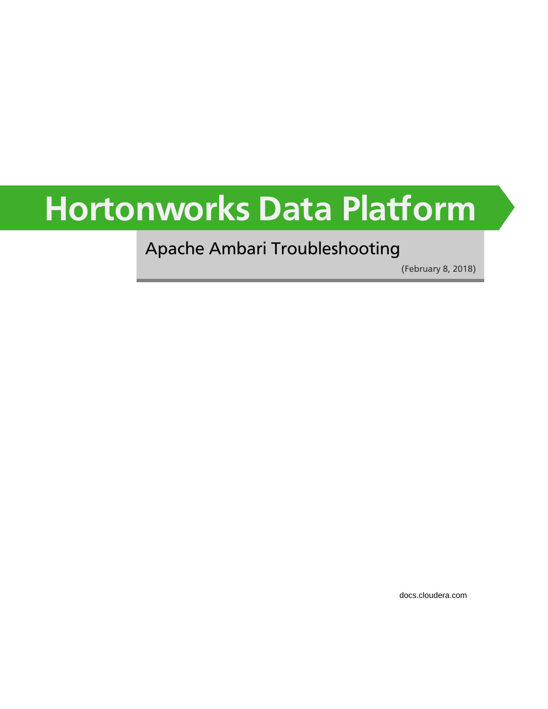# **Hortonworks Data Platform**

# Apache Ambari Troubleshooting

(February 8, 2018)

[docs.cloudera.com](http://docs.cloudera.com)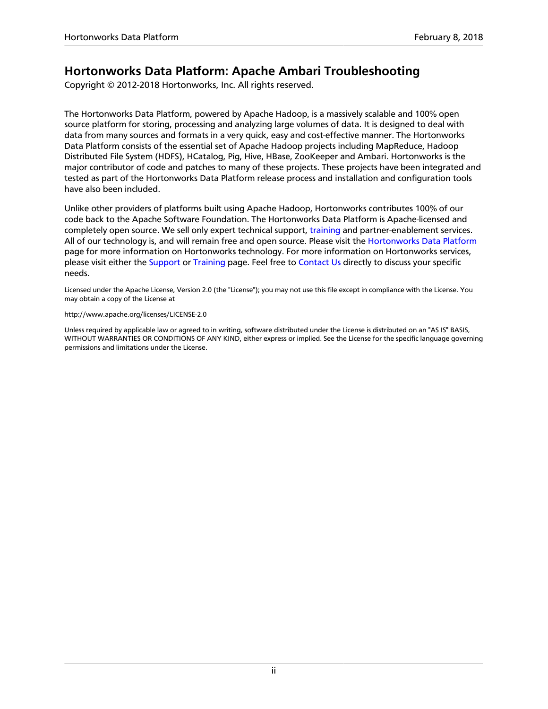#### **Hortonworks Data Platform: Apache Ambari Troubleshooting**

Copyright © 2012-2018 Hortonworks, Inc. All rights reserved.

The Hortonworks Data Platform, powered by Apache Hadoop, is a massively scalable and 100% open source platform for storing, processing and analyzing large volumes of data. It is designed to deal with data from many sources and formats in a very quick, easy and cost-effective manner. The Hortonworks Data Platform consists of the essential set of Apache Hadoop projects including MapReduce, Hadoop Distributed File System (HDFS), HCatalog, Pig, Hive, HBase, ZooKeeper and Ambari. Hortonworks is the major contributor of code and patches to many of these projects. These projects have been integrated and tested as part of the Hortonworks Data Platform release process and installation and configuration tools have also been included.

Unlike other providers of platforms built using Apache Hadoop, Hortonworks contributes 100% of our code back to the Apache Software Foundation. The Hortonworks Data Platform is Apache-licensed and completely open source. We sell only expert technical support, [training](https://hortonworks.com/training/) and partner-enablement services. All of our technology is, and will remain free and open source. Please visit the [Hortonworks Data Platform](https://hortonworks.com/products/hdp/) page for more information on Hortonworks technology. For more information on Hortonworks services, please visit either the [Support](https://hortonworks.com/support) or [Training](https://hortonworks.com/training/) page. Feel free to [Contact Us](https://hortonworks.com/about-us/contact-us/) directly to discuss your specific needs.

Licensed under the Apache License, Version 2.0 (the "License"); you may not use this file except in compliance with the License. You may obtain a copy of the License at

#### <http://www.apache.org/licenses/LICENSE-2.0>

Unless required by applicable law or agreed to in writing, software distributed under the License is distributed on an "AS IS" BASIS, WITHOUT WARRANTIES OR CONDITIONS OF ANY KIND, either express or implied. See the License for the specific language governing permissions and limitations under the License.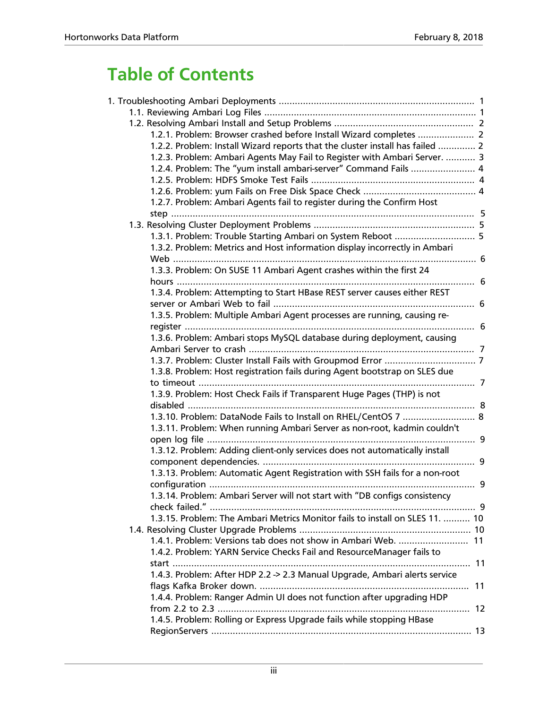# **Table of Contents**

| 1.2.1. Problem: Browser crashed before Install Wizard completes  2            |  |
|-------------------------------------------------------------------------------|--|
| 1.2.2. Problem: Install Wizard reports that the cluster install has failed  2 |  |
| 1.2.3. Problem: Ambari Agents May Fail to Register with Ambari Server.  3     |  |
| 1.2.4. Problem: The "yum install ambari-server" Command Fails  4              |  |
|                                                                               |  |
|                                                                               |  |
| 1.2.7. Problem: Ambari Agents fail to register during the Confirm Host        |  |
|                                                                               |  |
|                                                                               |  |
| 1.3.1. Problem: Trouble Starting Ambari on System Reboot  5                   |  |
| 1.3.2. Problem: Metrics and Host information display incorrectly in Ambari    |  |
|                                                                               |  |
| 1.3.3. Problem: On SUSE 11 Ambari Agent crashes within the first 24           |  |
|                                                                               |  |
| 1.3.4. Problem: Attempting to Start HBase REST server causes either REST      |  |
|                                                                               |  |
| 1.3.5. Problem: Multiple Ambari Agent processes are running, causing re-      |  |
|                                                                               |  |
| 1.3.6. Problem: Ambari stops MySQL database during deployment, causing        |  |
|                                                                               |  |
|                                                                               |  |
|                                                                               |  |
| 1.3.8. Problem: Host registration fails during Agent bootstrap on SLES due    |  |
|                                                                               |  |
| 1.3.9. Problem: Host Check Fails if Transparent Huge Pages (THP) is not       |  |
|                                                                               |  |
| 1.3.10. Problem: DataNode Fails to Install on RHEL/CentOS 7  8                |  |
| 1.3.11. Problem: When running Ambari Server as non-root, kadmin couldn't      |  |
|                                                                               |  |
| 1.3.12. Problem: Adding client-only services does not automatically install   |  |
|                                                                               |  |
| 1.3.13. Problem: Automatic Agent Registration with SSH fails for a non-root   |  |
|                                                                               |  |
| 1.3.14. Problem: Ambari Server will not start with "DB configs consistency    |  |
|                                                                               |  |
| 1.3.15. Problem: The Ambari Metrics Monitor fails to install on SLES 11.  10  |  |
|                                                                               |  |
| 1.4.1. Problem: Versions tab does not show in Ambari Web.  11                 |  |
| 1.4.2. Problem: YARN Service Checks Fail and ResourceManager fails to         |  |
|                                                                               |  |
| 1.4.3. Problem: After HDP 2.2 -> 2.3 Manual Upgrade, Ambari alerts service    |  |
|                                                                               |  |
|                                                                               |  |
| 1.4.4. Problem: Ranger Admin UI does not function after upgrading HDP         |  |
|                                                                               |  |
| 1.4.5. Problem: Rolling or Express Upgrade fails while stopping HBase         |  |
|                                                                               |  |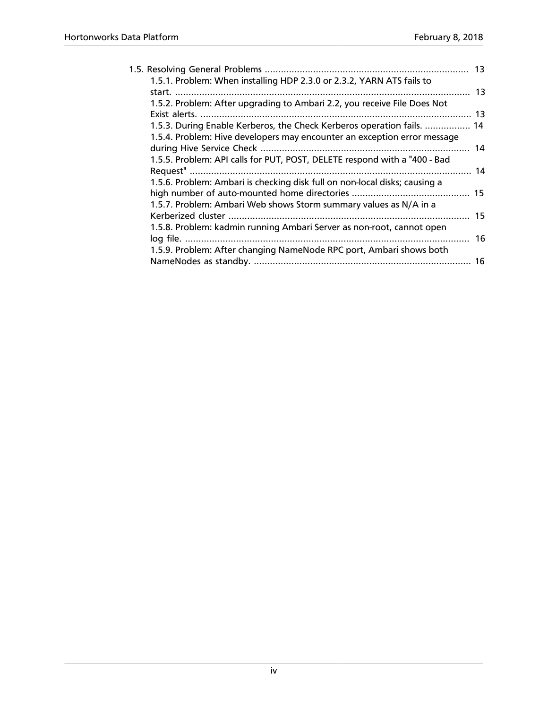|                                                                            | 13 |
|----------------------------------------------------------------------------|----|
| 1.5.1. Problem: When installing HDP 2.3.0 or 2.3.2, YARN ATS fails to      |    |
|                                                                            |    |
| 1.5.2. Problem: After upgrading to Ambari 2.2, you receive File Does Not   |    |
|                                                                            |    |
| 1.5.3. During Enable Kerberos, the Check Kerberos operation fails.  14     |    |
| 1.5.4. Problem: Hive developers may encounter an exception error message   |    |
|                                                                            | 14 |
| 1.5.5. Problem: API calls for PUT, POST, DELETE respond with a "400 - Bad  |    |
|                                                                            |    |
| 1.5.6. Problem: Ambari is checking disk full on non-local disks; causing a |    |
|                                                                            |    |
| 1.5.7. Problem: Ambari Web shows Storm summary values as N/A in a          |    |
|                                                                            | 15 |
| 1.5.8. Problem: kadmin running Ambari Server as non-root, cannot open      |    |
|                                                                            | 16 |
| 1.5.9. Problem: After changing NameNode RPC port, Ambari shows both        |    |
|                                                                            | 16 |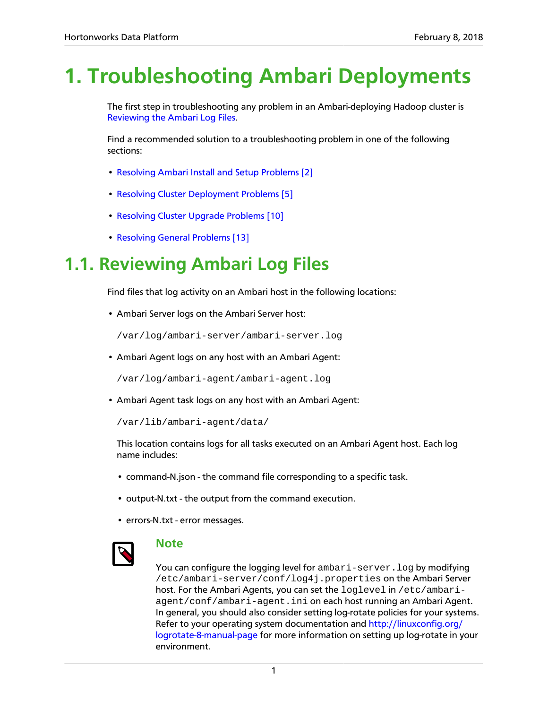# <span id="page-4-0"></span>**1. Troubleshooting Ambari Deployments**

The first step in troubleshooting any problem in an Ambari-deploying Hadoop cluster is [Reviewing the Ambari Log Files](#page-4-1).

Find a recommended solution to a troubleshooting problem in one of the following sections:

- [Resolving Ambari Install and Setup Problems \[2\]](#page-5-0)
- [Resolving Cluster Deployment Problems \[5\]](#page-8-1)
- [Resolving Cluster Upgrade Problems \[10\]](#page-13-1)
- [Resolving General Problems \[13\]](#page-16-1)

# <span id="page-4-1"></span>**1.1. Reviewing Ambari Log Files**

Find files that log activity on an Ambari host in the following locations:

• Ambari Server logs on the Ambari Server host:

/var/log/ambari-server/ambari-server.log

• Ambari Agent logs on any host with an Ambari Agent:

/var/log/ambari-agent/ambari-agent.log

• Ambari Agent task logs on any host with an Ambari Agent:

```
/var/lib/ambari-agent/data/
```
This location contains logs for all tasks executed on an Ambari Agent host. Each log name includes:

- command-N.json the command file corresponding to a specific task.
- output-N.txt the output from the command execution.
- errors-N.txt error messages.



#### **Note**

You can configure the logging level for ambari-server. log by modifying /etc/ambari-server/conf/log4j.properties on the Ambari Server host. For the Ambari Agents, you can set the loglevel in /etc/ambariagent/conf/ambari-agent.ini on each host running an Ambari Agent. In general, you should also consider setting log-rotate policies for your systems. Refer to your operating system documentation and [http://linuxconfig.org/](http://linuxconfig.org/logrotate-8-manual-page) [logrotate-8-manual-page](http://linuxconfig.org/logrotate-8-manual-page) for more information on setting up log-rotate in your environment.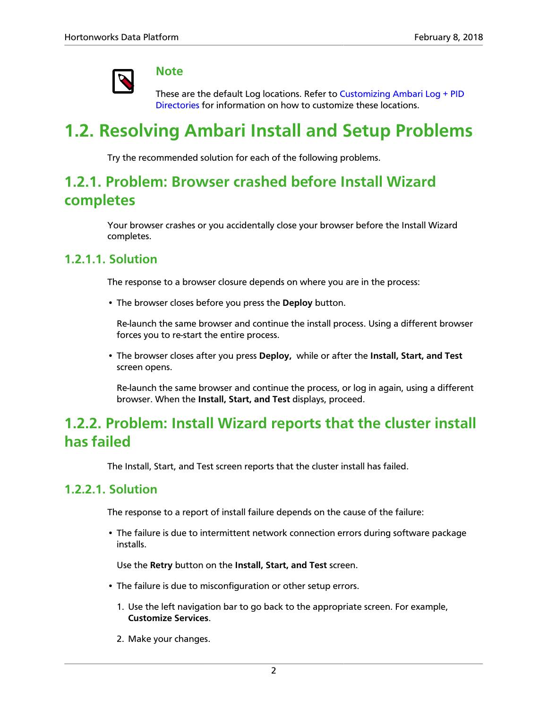

#### **Note**

These are the default Log locations. Refer to [Customizing Ambari Log + PID](https://docs.hortonworks.com/HDPDocuments/Ambari-2.6.1.3/bk_ambari-administration/content/ch_amb_ref_customizing_ambari_log_pid_dirs.html) [Directories](https://docs.hortonworks.com/HDPDocuments/Ambari-2.6.1.3/bk_ambari-administration/content/ch_amb_ref_customizing_ambari_log_pid_dirs.html) for information on how to customize these locations.

# <span id="page-5-0"></span>**1.2. Resolving Ambari Install and Setup Problems**

Try the recommended solution for each of the following problems.

# <span id="page-5-1"></span>**1.2.1. Problem: Browser crashed before Install Wizard completes**

Your browser crashes or you accidentally close your browser before the Install Wizard completes.

#### **1.2.1.1. Solution**

The response to a browser closure depends on where you are in the process:

• The browser closes before you press the **Deploy** button.

Re-launch the same browser and continue the install process. Using a different browser forces you to re-start the entire process.

• The browser closes after you press **Deploy,** while or after the **Install, Start, and Test** screen opens.

Re-launch the same browser and continue the process, or log in again, using a different browser. When the **Install, Start, and Test** displays, proceed.

# <span id="page-5-2"></span>**1.2.2. Problem: Install Wizard reports that the cluster install has failed**

The Install, Start, and Test screen reports that the cluster install has failed.

#### **1.2.2.1. Solution**

The response to a report of install failure depends on the cause of the failure:

• The failure is due to intermittent network connection errors during software package installs.

Use the **Retry** button on the **Install, Start, and Test** screen.

- The failure is due to misconfiguration or other setup errors.
	- 1. Use the left navigation bar to go back to the appropriate screen. For example, **Customize Services**.
	- 2. Make your changes.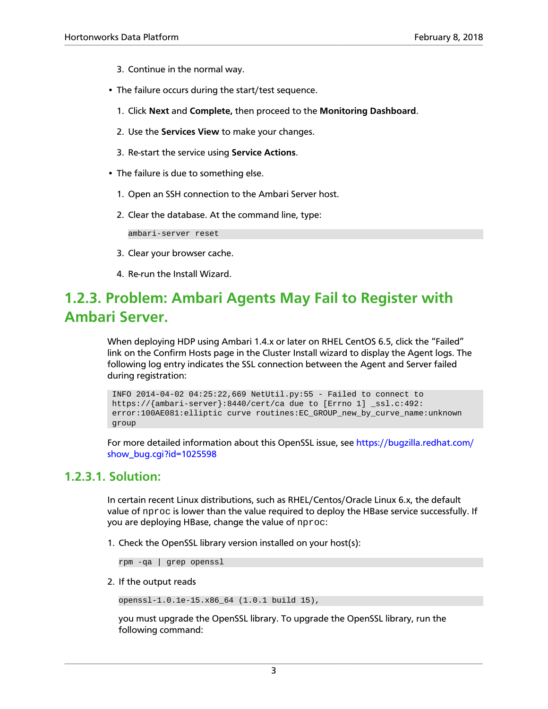- 3. Continue in the normal way.
- The failure occurs during the start/test sequence.
	- 1. Click **Next** and **Complete,** then proceed to the **Monitoring Dashboard**.
	- 2. Use the **Services View** to make your changes.
	- 3. Re-start the service using **Service Actions**.
- The failure is due to something else.
	- 1. Open an SSH connection to the Ambari Server host.
	- 2. Clear the database. At the command line, type:

ambari-server reset

- 3. Clear your browser cache.
- 4. Re-run the Install Wizard.

# <span id="page-6-0"></span>**1.2.3. Problem: Ambari Agents May Fail to Register with Ambari Server.**

When deploying HDP using Ambari 1.4.x or later on RHEL CentOS 6.5, click the "Failed" link on the Confirm Hosts page in the Cluster Install wizard to display the Agent logs. The following log entry indicates the SSL connection between the Agent and Server failed during registration:

```
 INFO 2014-04-02 04:25:22,669 NetUtil.py:55 - Failed to connect to
 https://{ambari-server}:8440/cert/ca due to [Errno 1] _ssl.c:492:
 error:100AE081:elliptic curve routines:EC_GROUP_new_by_curve_name:unknown
 group
```
For more detailed information about this OpenSSL issue, see [https://bugzilla.redhat.com/](https://bugzilla.redhat.com/show_bug.cgi?id=1025598) [show\\_bug.cgi?id=1025598](https://bugzilla.redhat.com/show_bug.cgi?id=1025598)

#### **1.2.3.1. Solution:**

In certain recent Linux distributions, such as RHEL/Centos/Oracle Linux 6.x, the default value of nproc is lower than the value required to deploy the HBase service successfully. If you are deploying HBase, change the value of nproc:

1. Check the OpenSSL library version installed on your host(s):

rpm -qa | grep openssl

2. If the output reads

openssl-1.0.1e-15.x86\_64 (1.0.1 build 15),

you must upgrade the OpenSSL library. To upgrade the OpenSSL library, run the following command: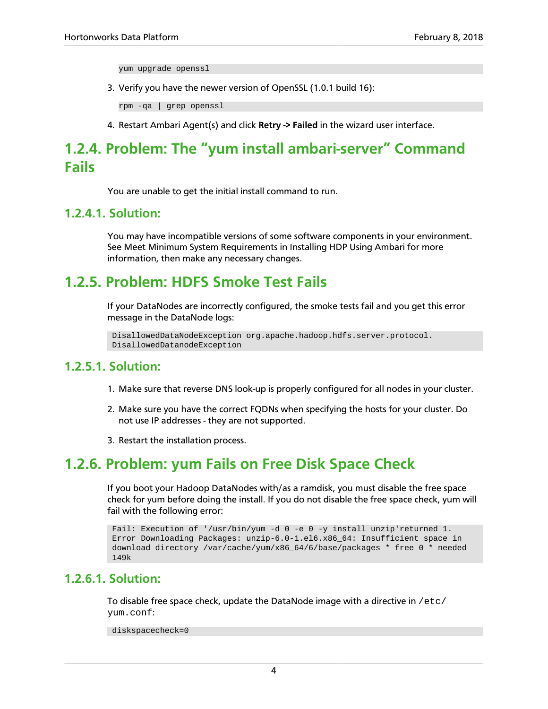yum upgrade openssl

3. Verify you have the newer version of OpenSSL (1.0.1 build 16):

rpm -qa | grep openssl

4. Restart Ambari Agent(s) and click **Retry -> Failed** in the wizard user interface.

# <span id="page-7-0"></span>**1.2.4. Problem: The "yum install ambari-server" Command Fails**

You are unable to get the initial install command to run.

#### **1.2.4.1. Solution:**

You may have incompatible versions of some software components in your environment. See Meet Minimum System Requirements in Installing HDP Using Ambari for more information, then make any necessary changes.

### <span id="page-7-1"></span>**1.2.5. Problem: HDFS Smoke Test Fails**

If your DataNodes are incorrectly configured, the smoke tests fail and you get this error message in the DataNode logs:

```
 DisallowedDataNodeException org.apache.hadoop.hdfs.server.protocol.
 DisallowedDatanodeException
```
#### **1.2.5.1. Solution:**

- 1. Make sure that reverse DNS look-up is properly configured for all nodes in your cluster.
- 2. Make sure you have the correct FQDNs when specifying the hosts for your cluster. Do not use IP addresses - they are not supported.
- 3. Restart the installation process.

#### <span id="page-7-2"></span>**1.2.6. Problem: yum Fails on Free Disk Space Check**

If you boot your Hadoop DataNodes with/as a ramdisk, you must disable the free space check for yum before doing the install. If you do not disable the free space check, yum will fail with the following error:

```
 Fail: Execution of '/usr/bin/yum -d 0 -e 0 -y install unzip'returned 1.
 Error Downloading Packages: unzip-6.0-1.el6.x86_64: Insufficient space in
 download directory /var/cache/yum/x86_64/6/base/packages * free 0 * needed
 149k
```
#### **1.2.6.1. Solution:**

To disable free space check, update the DataNode image with a directive in  $/etc/$ yum.conf:

diskspacecheck=0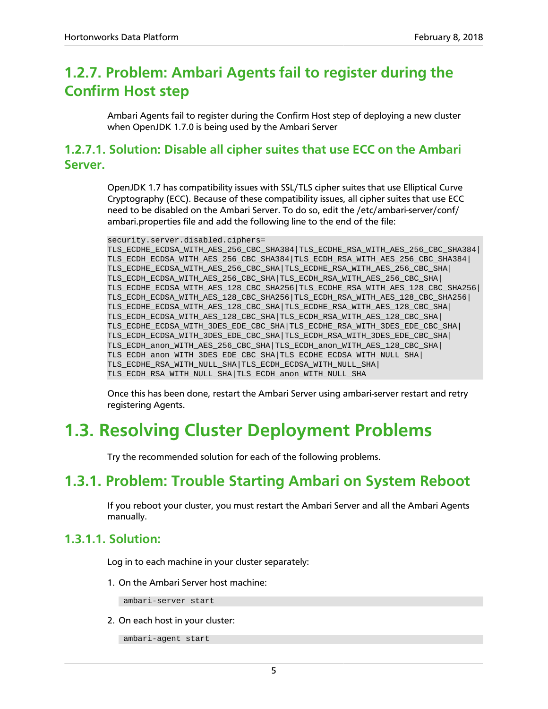# <span id="page-8-0"></span>**1.2.7. Problem: Ambari Agents fail to register during the Confirm Host step**

Ambari Agents fail to register during the Confirm Host step of deploying a new cluster when OpenJDK 1.7.0 is being used by the Ambari Server

#### **1.2.7.1. Solution: Disable all cipher suites that use ECC on the Ambari Server.**

OpenJDK 1.7 has compatibility issues with SSL/TLS cipher suites that use Elliptical Curve Cryptography (ECC). Because of these compatibility issues, all cipher suites that use ECC need to be disabled on the Ambari Server. To do so, edit the /etc/ambari-server/conf/ ambari.properties file and add the following line to the end of the file:

```
security.server.disabled.ciphers=
TLS_ECDHE_ECDSA_WITH_AES_256_CBC_SHA384|TLS_ECDHE_RSA_WITH_AES_256_CBC_SHA384|
TLS_ECDH_ECDSA_WITH_AES_256_CBC_SHA384|TLS_ECDH_RSA_WITH_AES_256_CBC_SHA384|
TLS_ECDHE_ECDSA_WITH_AES_256_CBC_SHA|TLS_ECDHE_RSA_WITH_AES_256_CBC_SHA|
TLS_ECDH_ECDSA_WITH_AES_256_CBC_SHA|TLS_ECDH_RSA_WITH_AES_256_CBC_SHA|
TLS_ECDHE_ECDSA_WITH_AES_128_CBC_SHA256|TLS_ECDHE_RSA_WITH_AES_128_CBC_SHA256|
TLS_ECDH_ECDSA_WITH_AES_128_CBC_SHA256|TLS_ECDH_RSA_WITH_AES_128_CBC_SHA256|
TLS_ECDHE_ECDSA_WITH_AES_128_CBC_SHA|TLS_ECDHE_RSA_WITH_AES_128_CBC_SHA|
TLS_ECDH_ECDSA_WITH_AES_128_CBC_SHA|TLS_ECDH_RSA_WITH_AES_128_CBC_SHA|
TLS_ECDHE_ECDSA_WITH_3DES_EDE_CBC_SHA|TLS_ECDHE_RSA_WITH_3DES_EDE_CBC_SHA|
TLS_ECDH_ECDSA_WITH_3DES_EDE_CBC_SHA|TLS_ECDH_RSA_WITH_3DES_EDE_CBC_SHA|
TLS_ECDH_anon_WITH_AES_256_CBC_SHA|TLS_ECDH_anon_WITH_AES_128_CBC_SHA|
TLS_ECDH_anon_WITH_3DES_EDE_CBC_SHA|TLS_ECDHE_ECDSA_WITH_NULL_SHA|
TLS_ECDHE_RSA_WITH_NULL_SHA|TLS_ECDH_ECDSA_WITH_NULL_SHA|
TLS_ECDH_RSA_WITH_NULL_SHA|TLS_ECDH_anon_WITH_NULL_SHA
```
Once this has been done, restart the Ambari Server using ambari-server restart and retry registering Agents.

# <span id="page-8-1"></span>**1.3. Resolving Cluster Deployment Problems**

Try the recommended solution for each of the following problems.

# <span id="page-8-2"></span>**1.3.1. Problem: Trouble Starting Ambari on System Reboot**

If you reboot your cluster, you must restart the Ambari Server and all the Ambari Agents manually.

#### **1.3.1.1. Solution:**

Log in to each machine in your cluster separately:

1. On the Ambari Server host machine:

ambari-server start

2. On each host in your cluster:

ambari-agent start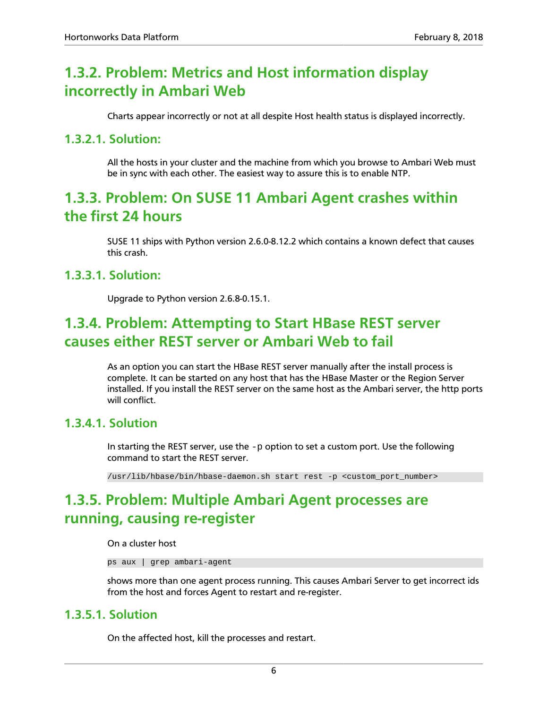# <span id="page-9-0"></span>**1.3.2. Problem: Metrics and Host information display incorrectly in Ambari Web**

Charts appear incorrectly or not at all despite Host health status is displayed incorrectly.

#### **1.3.2.1. Solution:**

All the hosts in your cluster and the machine from which you browse to Ambari Web must be in sync with each other. The easiest way to assure this is to enable NTP.

### <span id="page-9-1"></span>**1.3.3. Problem: On SUSE 11 Ambari Agent crashes within the first 24 hours**

SUSE 11 ships with Python version 2.6.0-8.12.2 which contains a known defect that causes this crash.

#### **1.3.3.1. Solution:**

Upgrade to Python version 2.6.8-0.15.1.

### <span id="page-9-2"></span>**1.3.4. Problem: Attempting to Start HBase REST server causes either REST server or Ambari Web to fail**

As an option you can start the HBase REST server manually after the install process is complete. It can be started on any host that has the HBase Master or the Region Server installed. If you install the REST server on the same host as the Ambari server, the http ports will conflict.

#### **1.3.4.1. Solution**

In starting the REST server, use the  $-p$  option to set a custom port. Use the following command to start the REST server.

/usr/lib/hbase/bin/hbase-daemon.sh start rest -p <custom\_port\_number>

# <span id="page-9-3"></span>**1.3.5. Problem: Multiple Ambari Agent processes are running, causing re-register**

On a cluster host

ps aux | grep ambari-agent

shows more than one agent process running. This causes Ambari Server to get incorrect ids from the host and forces Agent to restart and re-register.

#### **1.3.5.1. Solution**

On the affected host, kill the processes and restart.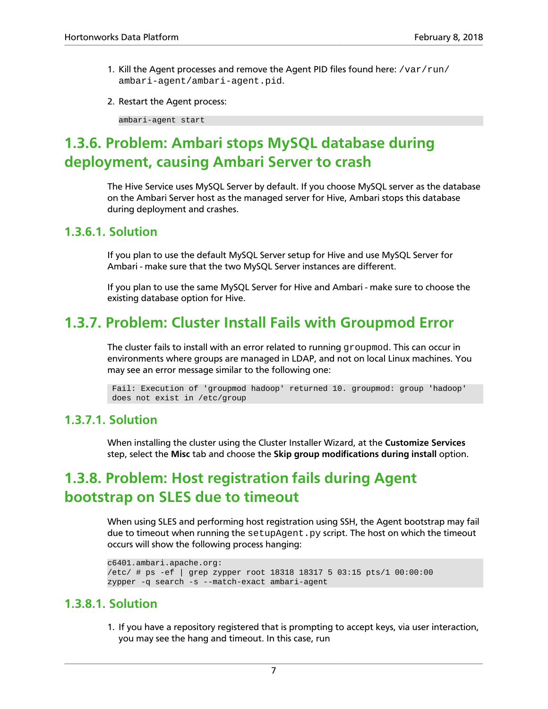- 1. Kill the Agent processes and remove the Agent PID files found here:  $/\mathrm{var}/\mathrm{run}/$ ambari-agent/ambari-agent.pid.
- 2. Restart the Agent process:

ambari-agent start

# <span id="page-10-0"></span>**1.3.6. Problem: Ambari stops MySQL database during deployment, causing Ambari Server to crash**

The Hive Service uses MySQL Server by default. If you choose MySQL server as the database on the Ambari Server host as the managed server for Hive, Ambari stops this database during deployment and crashes.

#### **1.3.6.1. Solution**

If you plan to use the default MySQL Server setup for Hive and use MySQL Server for Ambari - make sure that the two MySQL Server instances are different.

If you plan to use the same MySQL Server for Hive and Ambari - make sure to choose the existing database option for Hive.

### <span id="page-10-1"></span>**1.3.7. Problem: Cluster Install Fails with Groupmod Error**

The cluster fails to install with an error related to running  $q$  roupmod. This can occur in environments where groups are managed in LDAP, and not on local Linux machines. You may see an error message similar to the following one:

 Fail: Execution of 'groupmod hadoop' returned 10. groupmod: group 'hadoop' does not exist in /etc/group

#### **1.3.7.1. Solution**

When installing the cluster using the Cluster Installer Wizard, at the **Customize Services** step, select the **Misc** tab and choose the **Skip group modifications during install** option.

# <span id="page-10-2"></span>**1.3.8. Problem: Host registration fails during Agent bootstrap on SLES due to timeout**

When using SLES and performing host registration using SSH, the Agent bootstrap may fail due to timeout when running the setupAgent.py script. The host on which the timeout occurs will show the following process hanging:

```
c6401.ambari.apache.org:
/etc/ # ps -ef | grep zypper root 18318 18317 5 03:15 pts/1 00:00:00
zypper -q search -s --match-exact ambari-agent
```
#### **1.3.8.1. Solution**

1. If you have a repository registered that is prompting to accept keys, via user interaction, you may see the hang and timeout. In this case, run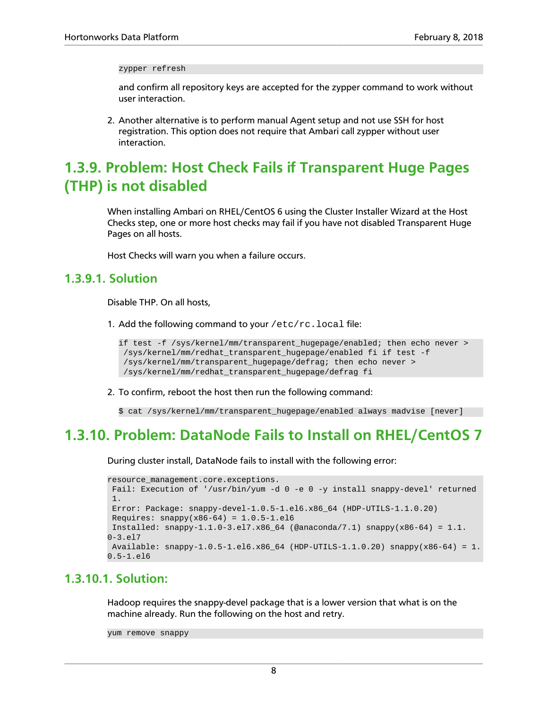zypper refresh

and confirm all repository keys are accepted for the zypper command to work without user interaction.

2. Another alternative is to perform manual Agent setup and not use SSH for host registration. This option does not require that Ambari call zypper without user interaction.

# <span id="page-11-0"></span>**1.3.9. Problem: Host Check Fails if Transparent Huge Pages (THP) is not disabled**

When installing Ambari on RHEL/CentOS 6 using the Cluster Installer Wizard at the Host Checks step, one or more host checks may fail if you have not disabled Transparent Huge Pages on all hosts.

Host Checks will warn you when a failure occurs.

#### **1.3.9.1. Solution**

Disable THP. On all hosts,

1. Add the following command to your /etc/rc.local file:

```
if test -f /sys/kernel/mm/transparent_hugepage/enabled; then echo never >
  /sys/kernel/mm/redhat_transparent_hugepage/enabled fi if test -f
  /sys/kernel/mm/transparent_hugepage/defrag; then echo never >
 /sys/kernel/mm/redhat_transparent_hugepage/defrag fi
```
2. To confirm, reboot the host then run the following command:

\$ cat /sys/kernel/mm/transparent\_hugepage/enabled always madvise [never]

### <span id="page-11-1"></span>**1.3.10. Problem: DataNode Fails to Install on RHEL/CentOS 7**

During cluster install, DataNode fails to install with the following error:

```
resource management.core.exceptions.
 Fail: Execution of '/usr/bin/yum -d 0 -e 0 -y install snappy-devel' returned
 1.
 Error: Package: snappy-devel-1.0.5-1.el6.x86_64 (HDP-UTILS-1.1.0.20)
Requires: snappy(x86-64) = 1.0.5-1.el6Installed: snappy-1.1.0-3. e17.x86_64 (@anaconda/7.1) snappy(x86-64) = 1.1.
0 - 3.917 Available: snappy-1.0.5-1.el6.x86_64 (HDP-UTILS-1.1.0.20) snappy(x86-64) = 1.
0.5-1.el6
```
#### **1.3.10.1. Solution:**

Hadoop requires the snappy-devel package that is a lower version that what is on the machine already. Run the following on the host and retry.

```
yum remove snappy
```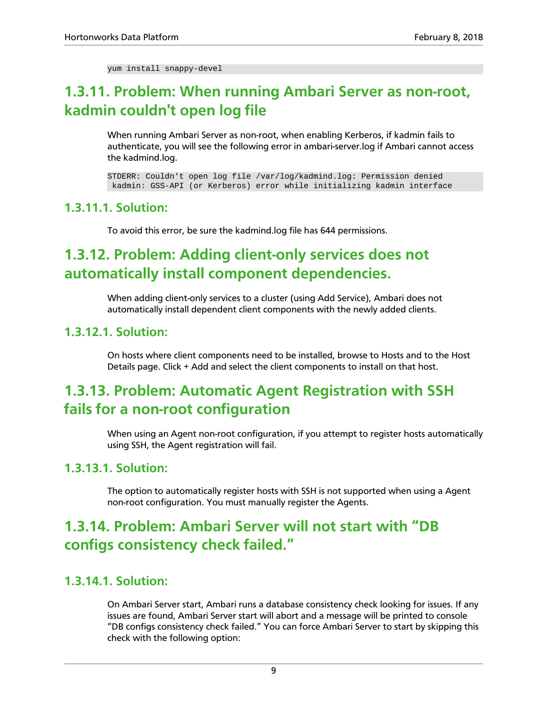yum install snappy-devel

# <span id="page-12-0"></span>**1.3.11. Problem: When running Ambari Server as non-root, kadmin couldn't open log file**

When running Ambari Server as non-root, when enabling Kerberos, if kadmin fails to authenticate, you will see the following error in ambari-server.log if Ambari cannot access the kadmind.log.

STDERR: Couldn't open log file /var/log/kadmind.log: Permission denied kadmin: GSS-API (or Kerberos) error while initializing kadmin interface

#### **1.3.11.1. Solution:**

To avoid this error, be sure the kadmind.log file has 644 permissions.

# <span id="page-12-1"></span>**1.3.12. Problem: Adding client-only services does not automatically install component dependencies.**

When adding client-only services to a cluster (using Add Service), Ambari does not automatically install dependent client components with the newly added clients.

#### **1.3.12.1. Solution:**

On hosts where client components need to be installed, browse to Hosts and to the Host Details page. Click + Add and select the client components to install on that host.

# <span id="page-12-2"></span>**1.3.13. Problem: Automatic Agent Registration with SSH fails for a non-root configuration**

When using an Agent non-root configuration, if you attempt to register hosts automatically using SSH, the Agent registration will fail.

#### **1.3.13.1. Solution:**

The option to automatically register hosts with SSH is not supported when using a Agent non-root configuration. You must manually register the Agents.

# <span id="page-12-3"></span>**1.3.14. Problem: Ambari Server will not start with "DB configs consistency check failed."**

#### **1.3.14.1. Solution:**

On Ambari Server start, Ambari runs a database consistency check looking for issues. If any issues are found, Ambari Server start will abort and a message will be printed to console "DB configs consistency check failed." You can force Ambari Server to start by skipping this check with the following option: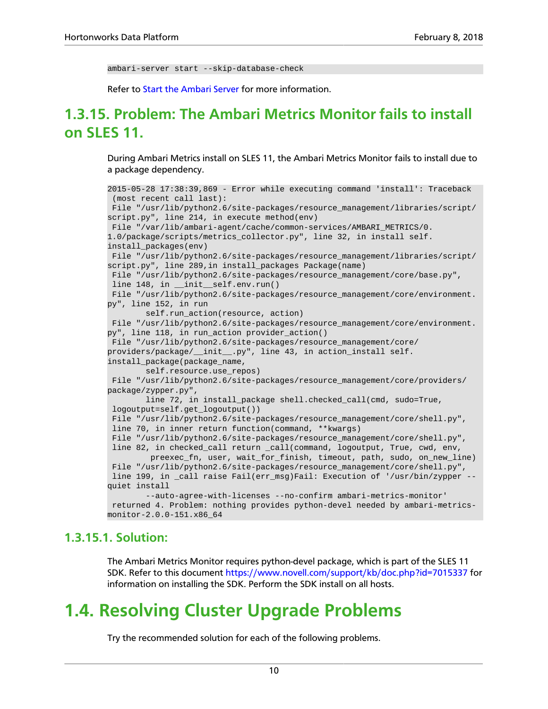ambari-server start --skip-database-check

Refer to [Start the Ambari Server](https://docs.hortonworks.com/HDPDocuments/Ambari-2.6.1.3/bk_ambari-installation/content/hdp_start_the_ambari_server.html) for more information.

# <span id="page-13-0"></span>**1.3.15. Problem: The Ambari Metrics Monitor fails to install on SLES 11.**

During Ambari Metrics install on SLES 11, the Ambari Metrics Monitor fails to install due to a package dependency.

```
2015-05-28 17:38:39,869 - Error while executing command 'install': Traceback
  (most recent call last):
 File "/usr/lib/python2.6/site-packages/resource_management/libraries/script/
script.py", line 214, in execute method(env)
 File "/var/lib/ambari-agent/cache/common-services/AMBARI_METRICS/0.
1.0/package/scripts/metrics_collector.py", line 32, in install self.
install_packages(env)
 File "/usr/lib/python2.6/site-packages/resource_management/libraries/script/
script.py", line 289,in install_packages Package(name)
 File "/usr/lib/python2.6/site-packages/resource_management/core/base.py",
line 148, in __init__self.env.run()
 File "/usr/lib/python2.6/site-packages/resource_management/core/environment.
py", line 152, in run
         self.run_action(resource, action)
 File "/usr/lib/python2.6/site-packages/resource_management/core/environment.
py", line 118, in run_action provider_action()
 File "/usr/lib/python2.6/site-packages/resource_management/core/
providers/package/__init__.py", line 43, in action_install self.
install_package(package_name,
       self.resource.use repos)
File "/usr/lib/python2.6/site-packages/resource_management/core/providers/
package/zypper.py",
        line 72, in install_package shell.checked_call(cmd, sudo=True,
 logoutput=self.get_logoutput())
 File "/usr/lib/python2.6/site-packages/resource_management/core/shell.py",
 line 70, in inner return function(command, **kwargs)
 File "/usr/lib/python2.6/site-packages/resource_management/core/shell.py",
 line 82, in checked_call return _call(command, logoutput, True, cwd, env,
          preexec_fn, user, wait_for_finish, timeout, path, sudo, on_new_line)
 File "/usr/lib/python2.6/site-packages/resource_management/core/shell.py",
 line 199, in _call raise Fail(err_msg)Fail: Execution of '/usr/bin/zypper --
quiet install
         --auto-agree-with-licenses --no-confirm ambari-metrics-monitor'
 returned 4. Problem: nothing provides python-devel needed by ambari-metrics-
monitor-2.0.0-151.x86_64
```
#### **1.3.15.1. Solution:**

The Ambari Metrics Monitor requires python-devel package, which is part of the SLES 11 SDK. Refer to this document<https://www.novell.com/support/kb/doc.php?id=7015337>for information on installing the SDK. Perform the SDK install on all hosts.

# <span id="page-13-1"></span>**1.4. Resolving Cluster Upgrade Problems**

Try the recommended solution for each of the following problems.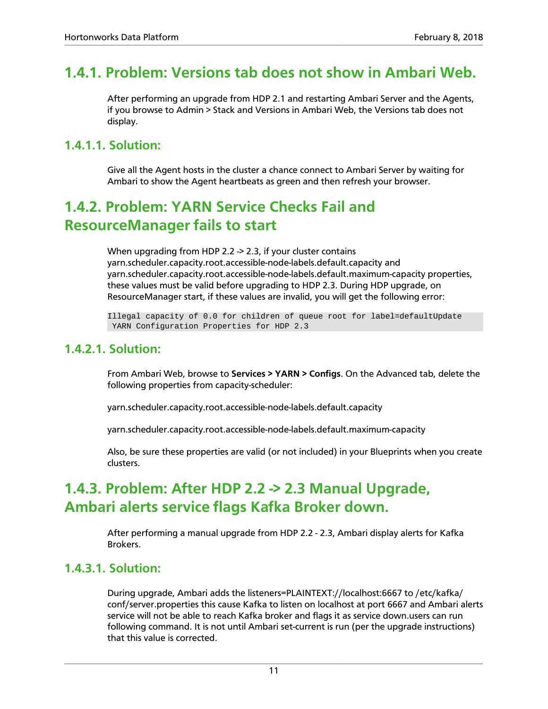### <span id="page-14-0"></span>**1.4.1. Problem: Versions tab does not show in Ambari Web.**

After performing an upgrade from HDP 2.1 and restarting Ambari Server and the Agents, if you browse to Admin > Stack and Versions in Ambari Web, the Versions tab does not display.

#### **1.4.1.1. Solution:**

Give all the Agent hosts in the cluster a chance connect to Ambari Server by waiting for Ambari to show the Agent heartbeats as green and then refresh your browser.

# <span id="page-14-1"></span>**1.4.2. Problem: YARN Service Checks Fail and ResourceManager fails to start**

When upgrading from HDP 2.2 -> 2.3, if your cluster contains yarn.scheduler.capacity.root.accessible-node-labels.default.capacity and yarn.scheduler.capacity.root.accessible-node-labels.default.maximum-capacity properties, these values must be valid before upgrading to HDP 2.3. During HDP upgrade, on ResourceManager start, if these values are invalid, you will get the following error:

Illegal capacity of 0.0 for children of queue root for label=defaultUpdate YARN Configuration Properties for HDP 2.3

#### **1.4.2.1. Solution:**

From Ambari Web, browse to **Services > YARN > Configs**. On the Advanced tab, delete the following properties from capacity-scheduler:

yarn.scheduler.capacity.root.accessible-node-labels.default.capacity

yarn.scheduler.capacity.root.accessible-node-labels.default.maximum-capacity

Also, be sure these properties are valid (or not included) in your Blueprints when you create clusters.

# <span id="page-14-2"></span>**1.4.3. Problem: After HDP 2.2 -> 2.3 Manual Upgrade, Ambari alerts service flags Kafka Broker down.**

After performing a manual upgrade from HDP 2.2 - 2.3, Ambari display alerts for Kafka Brokers.

#### **1.4.3.1. Solution:**

During upgrade, Ambari adds the listeners=PLAINTEXT://localhost:6667 to /etc/kafka/ conf/server.properties this cause Kafka to listen on localhost at port 6667 and Ambari alerts service will not be able to reach Kafka broker and flags it as service down.users can run following command. It is not until Ambari set-current is run (per the upgrade instructions) that this value is corrected.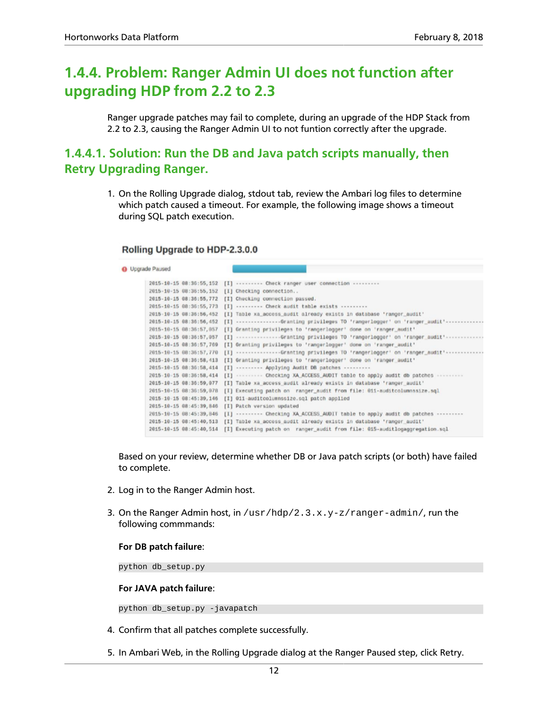# <span id="page-15-0"></span>**1.4.4. Problem: Ranger Admin UI does not function after upgrading HDP from 2.2 to 2.3**

Ranger upgrade patches may fail to complete, during an upgrade of the HDP Stack from 2.2 to 2.3, causing the Ranger Admin UI to not funtion correctly after the upgrade.

#### **1.4.4.1. Solution: Run the DB and Java patch scripts manually, then Retry Upgrading Ranger.**

1. On the Rolling Upgrade dialog, stdout tab, review the Ambari log files to determine which patch caused a timeout. For example, the following image shows a timeout during SQL patch execution.

#### Rolling Upgrade to HDP-2.3.0.0

**O** Upgrade Paused

|                                | 2015-10-15 08:30:55,152 [I] -------- Check ranger user connection --------     |
|--------------------------------|--------------------------------------------------------------------------------|
| 2015-10-15 08:36:55,152        | [I] Checking connection                                                        |
| 2015-10-15 08:36:55,772        | [I] Checking connection passed.                                                |
| 2015-10-15 08:36:55,773        | [I]  Check audit table exists                                                  |
| 2015-10-15 08:35:56,452        | [I] Table xa_access_audit already exists in database 'ranger_audit'            |
| 2015-10-15 08:36:56,452        | [I] -------------Granting privileges TO 'rangerlogger' on 'ranger audit'------ |
| 2015-10-15 08:36:57,057        | [I] Granting privileges to 'rangerlogger' dome on 'ranger_audit'               |
| 2015-10-15 08:36:57,057        | [I] Granting privileges TO 'rangerlogger' on 'ranger audit'                    |
| 2015-10-15 08:36:57,769        | [I] Granting privileges to 'rangerlogger' done on 'ranger audit'               |
| 2015-10-15 08:36:57,770        | [I] Granting privileges TO 'rangerlogger' on 'ranger_audit'-------------       |
| 2015-10-15 08:36:58, 413       | [I] Granting privileges to 'rangerlogger' dome on 'ranger audit'               |
| 2015-10-15 08:36:58,414        | [I]  Applying Audit DB patches                                                 |
| 2015-10-15 08:36:58,414        | [I]  Checking XA_ACCESS_AUDIT table to apply audit db patches                  |
| 2015-10-15 08:36:59,077        | [I] Table xa access audit already exists in database 'ranger audit'            |
| 2015-10-15 08:36:59,078        | [I] Executing patch on ranger_audit from file: 011-auditcolumnssize.sql        |
| 2015 - 10 - 15 08: 45: 39, 146 | [I] 011-auditcolumnssize.sql patch applied                                     |
| 2015-10-15 08:45:39,846        | [I] Patch version updated                                                      |
| 2015-10-15 08:45:39,846        | [I]  Checking XA_ACCESS_AUDIT table to apply audit db patches                  |
| 2015-10-15 08:45:40,513        | [I] Table xa access audit already exists in database 'ranger audit'            |
| 2015-10-15 08:45:40,514        | [I] Executing patch on ranger audit from file: 015-auditlogaggregation.sql     |
|                                |                                                                                |

Based on your review, determine whether DB or Java patch scripts (or both) have failed to complete.

- 2. Log in to the Ranger Admin host.
- 3. On the Ranger Admin host, in  $/\text{usr/hdp}/2.3.x.y-z/\text{range}r-\text{admin}/$ , run the following commmands:

#### **For DB patch failure**:

python db\_setup.py

#### **For JAVA patch failure**:

python db\_setup.py -javapatch

- 4. Confirm that all patches complete successfully.
- 5. In Ambari Web, in the Rolling Upgrade dialog at the Ranger Paused step, click Retry.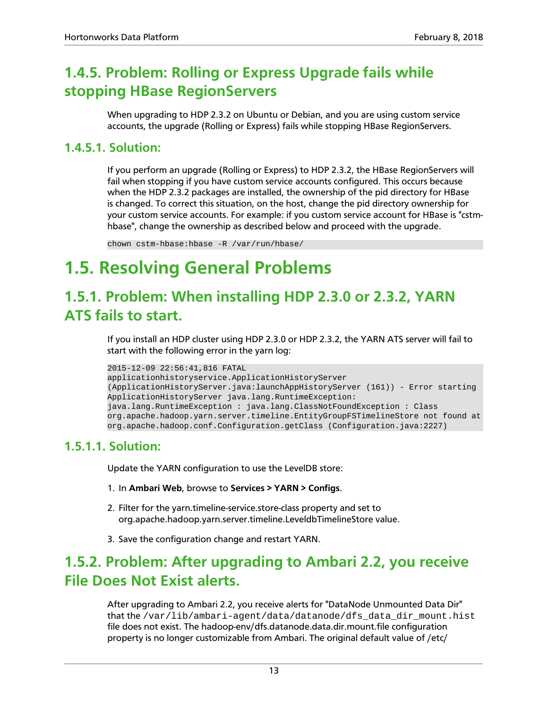# <span id="page-16-0"></span>**1.4.5. Problem: Rolling or Express Upgrade fails while stopping HBase RegionServers**

When upgrading to HDP 2.3.2 on Ubuntu or Debian, and you are using custom service accounts, the upgrade (Rolling or Express) fails while stopping HBase RegionServers.

#### **1.4.5.1. Solution:**

If you perform an upgrade (Rolling or Express) to HDP 2.3.2, the HBase RegionServers will fail when stopping if you have custom service accounts configured. This occurs because when the HDP 2.3.2 packages are installed, the ownership of the pid directory for HBase is changed. To correct this situation, on the host, change the pid directory ownership for your custom service accounts. For example: if you custom service account for HBase is "cstmhbase", change the ownership as described below and proceed with the upgrade.

chown cstm-hbase:hbase -R /var/run/hbase/

# <span id="page-16-1"></span>**1.5. Resolving General Problems**

# <span id="page-16-2"></span>**1.5.1. Problem: When installing HDP 2.3.0 or 2.3.2, YARN ATS fails to start.**

If you install an HDP cluster using HDP 2.3.0 or HDP 2.3.2, the YARN ATS server will fail to start with the following error in the yarn log:

```
2015-12-09 22:56:41,816 FATAL
applicationhistoryservice.ApplicationHistoryServer
(ApplicationHistoryServer.java:launchAppHistoryServer (161)) - Error starting
ApplicationHistoryServer java.lang.RuntimeException:
java.lang.RuntimeException : java.lang.ClassNotFoundException : Class
org.apache.hadoop.yarn.server.timeline.EntityGroupFSTimelineStore not found at
org.apache.hadoop.conf.Configuration.getClass (Configuration.java:2227)
```
#### **1.5.1.1. Solution:**

Update the YARN configuration to use the LevelDB store:

- 1. In **Ambari Web**, browse to **Services > YARN > Configs**.
- 2. Filter for the yarn.timeline-service.store-class property and set to org.apache.hadoop.yarn.server.timeline.LeveldbTimelineStore value.
- 3. Save the configuration change and restart YARN.

# <span id="page-16-3"></span>**1.5.2. Problem: After upgrading to Ambari 2.2, you receive File Does Not Exist alerts.**

After upgrading to Ambari 2.2, you receive alerts for "DataNode Unmounted Data Dir" that the /var/lib/ambari-agent/data/datanode/dfs\_data\_dir\_mount.hist file does not exist. The hadoop-env/dfs.datanode.data.dir.mount.file configuration property is no longer customizable from Ambari. The original default value of /etc/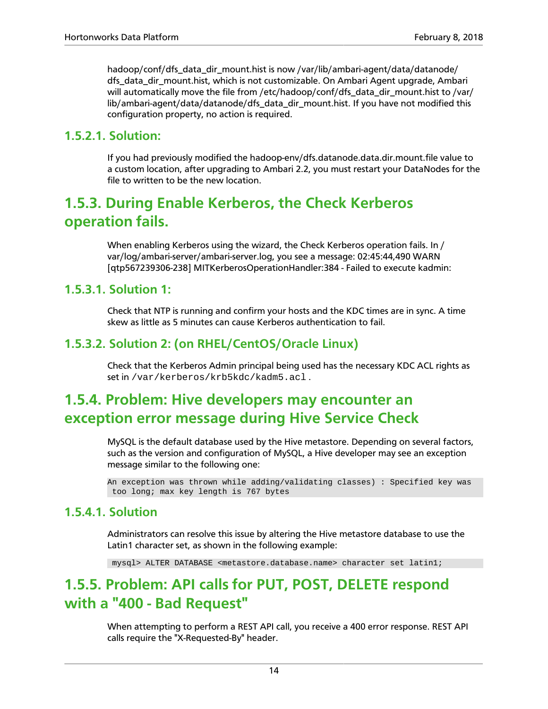hadoop/conf/dfs\_data\_dir\_mount.hist is now /var/lib/ambari-agent/data/datanode/ dfs\_data\_dir\_mount.hist, which is not customizable. On Ambari Agent upgrade, Ambari will automatically move the file from /etc/hadoop/conf/dfs\_data\_dir\_mount.hist to /var/ lib/ambari-agent/data/datanode/dfs\_data\_dir\_mount.hist. If you have not modified this configuration property, no action is required.

#### **1.5.2.1. Solution:**

If you had previously modified the hadoop-env/dfs.datanode.data.dir.mount.file value to a custom location, after upgrading to Ambari 2.2, you must restart your DataNodes for the file to written to be the new location.

# <span id="page-17-0"></span>**1.5.3. During Enable Kerberos, the Check Kerberos operation fails.**

When enabling Kerberos using the wizard, the Check Kerberos operation fails. In / var/log/ambari-server/ambari-server.log, you see a message: 02:45:44,490 WARN [qtp567239306-238] MITKerberosOperationHandler:384 - Failed to execute kadmin:

#### **1.5.3.1. Solution 1:**

Check that NTP is running and confirm your hosts and the KDC times are in sync. A time skew as little as 5 minutes can cause Kerberos authentication to fail.

#### **1.5.3.2. Solution 2: (on RHEL/CentOS/Oracle Linux)**

Check that the Kerberos Admin principal being used has the necessary KDC ACL rights as set in /var/kerberos/krb5kdc/kadm5.acl .

# <span id="page-17-1"></span>**1.5.4. Problem: Hive developers may encounter an exception error message during Hive Service Check**

MySQL is the default database used by the Hive metastore. Depending on several factors, such as the version and configuration of MySQL, a Hive developer may see an exception message similar to the following one:

```
An exception was thrown while adding/validating classes) : Specified key was
 too long; max key length is 767 bytes
```
#### **1.5.4.1. Solution**

Administrators can resolve this issue by altering the Hive metastore database to use the Latin1 character set, as shown in the following example:

mysql> ALTER DATABASE <metastore.database.name> character set latin1;

### <span id="page-17-2"></span>**1.5.5. Problem: API calls for PUT, POST, DELETE respond with a "400 - Bad Request"**

When attempting to perform a REST API call, you receive a 400 error response. REST API calls require the "X-Requested-By" header.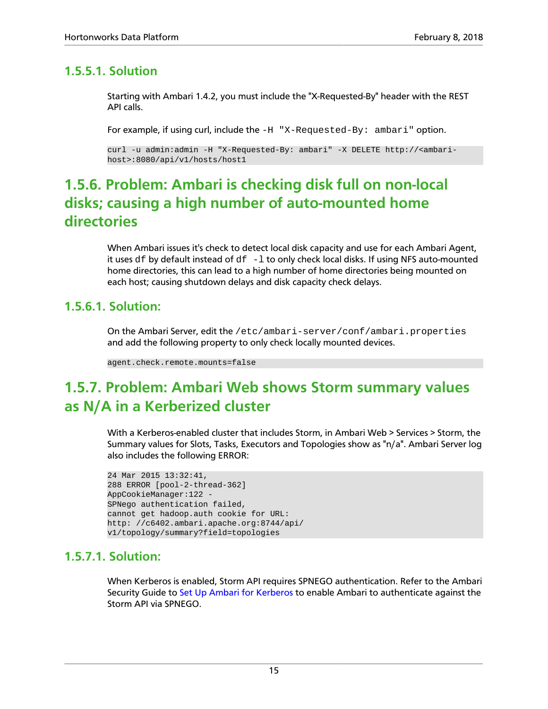#### **1.5.5.1. Solution**

Starting with Ambari 1.4.2, you must include the "X-Requested-By" header with the REST API calls.

For example, if using curl, include the  $-H$  "X-Requested-By:  $ambari$ " option.

curl -u admin:admin -H "X-Requested-By: ambari" -X DELETE http://<ambarihost>:8080/api/v1/hosts/host1

# <span id="page-18-0"></span>**1.5.6. Problem: Ambari is checking disk full on non-local disks; causing a high number of auto-mounted home directories**

When Ambari issues it's check to detect local disk capacity and use for each Ambari Agent, it uses  $df$  by default instead of  $df -1$  to only check local disks. If using NFS auto-mounted home directories, this can lead to a high number of home directories being mounted on each host; causing shutdown delays and disk capacity check delays.

#### **1.5.6.1. Solution:**

On the Ambari Server, edit the /etc/ambari-server/conf/ambari.properties and add the following property to only check locally mounted devices.

```
agent.check.remote.mounts=false
```
# <span id="page-18-1"></span>**1.5.7. Problem: Ambari Web shows Storm summary values as N/A in a Kerberized cluster**

With a Kerberos-enabled cluster that includes Storm, in Ambari Web > Services > Storm, the Summary values for Slots, Tasks, Executors and Topologies show as "n/a". Ambari Server log also includes the following ERROR:

```
24 Mar 2015 13:32:41,
288 ERROR [pool-2-thread-362]
AppCookieManager:122 -
SPNego authentication failed,
cannot get hadoop.auth cookie for URL:
http: //c6402.ambari.apache.org:8744/api/
v1/topology/summary?field=topologies
```
#### **1.5.7.1. Solution:**

When Kerberos is enabled, Storm API requires SPNEGO authentication. Refer to the Ambari Security Guide to [Set Up Ambari for Kerberos](https://docs.hortonworks.com/HDPDocuments/Ambari-2.6.1.3/bk_ambari-security/content/set_up_kerberos_for_ambari_server.html) to enable Ambari to authenticate against the Storm API via SPNEGO.